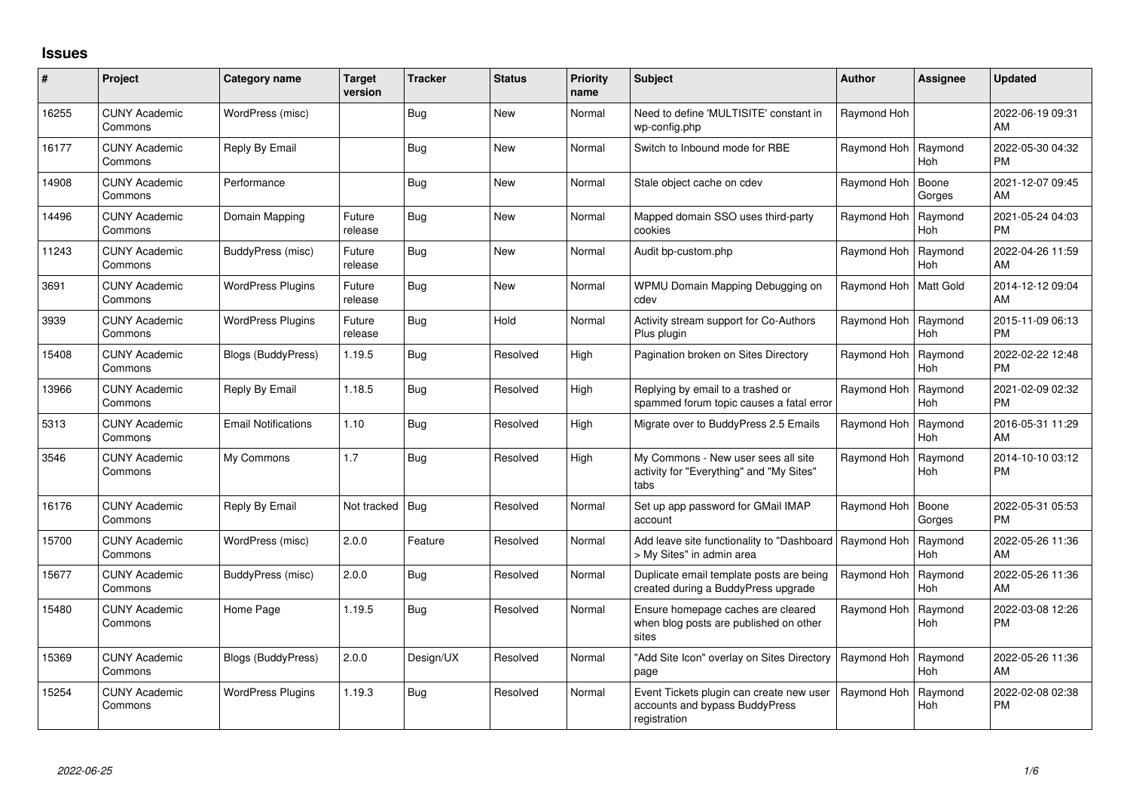## **Issues**

| #     | Project                         | <b>Category name</b>       | <b>Target</b><br>version | <b>Tracker</b> | <b>Status</b> | <b>Priority</b><br>name | <b>Subject</b>                                                                             | <b>Author</b> | <b>Assignee</b>       | <b>Updated</b>                |
|-------|---------------------------------|----------------------------|--------------------------|----------------|---------------|-------------------------|--------------------------------------------------------------------------------------------|---------------|-----------------------|-------------------------------|
| 16255 | <b>CUNY Academic</b><br>Commons | WordPress (misc)           |                          | <b>Bug</b>     | <b>New</b>    | Normal                  | Need to define 'MULTISITE' constant in<br>wp-config.php                                    | Raymond Hoh   |                       | 2022-06-19 09:31<br>AM        |
| 16177 | <b>CUNY Academic</b><br>Commons | Reply By Email             |                          | <b>Bug</b>     | <b>New</b>    | Normal                  | Switch to Inbound mode for RBE                                                             | Raymond Hoh   | Ravmond<br><b>Hoh</b> | 2022-05-30 04:32<br><b>PM</b> |
| 14908 | <b>CUNY Academic</b><br>Commons | Performance                |                          | Bug            | <b>New</b>    | Normal                  | Stale object cache on cdev                                                                 | Raymond Hoh   | Boone<br>Gorges       | 2021-12-07 09:45<br>AM        |
| 14496 | <b>CUNY Academic</b><br>Commons | Domain Mapping             | Future<br>release        | <b>Bug</b>     | <b>New</b>    | Normal                  | Mapped domain SSO uses third-party<br>cookies                                              | Raymond Hoh   | Raymond<br><b>Hoh</b> | 2021-05-24 04:03<br><b>PM</b> |
| 11243 | <b>CUNY Academic</b><br>Commons | BuddyPress (misc)          | Future<br>release        | <b>Bug</b>     | <b>New</b>    | Normal                  | Audit bp-custom.php                                                                        | Raymond Hoh   | Raymond<br>Hoh        | 2022-04-26 11:59<br>AM        |
| 3691  | <b>CUNY Academic</b><br>Commons | <b>WordPress Plugins</b>   | Future<br>release        | Bug            | <b>New</b>    | Normal                  | WPMU Domain Mapping Debugging on<br>cdev                                                   | Raymond Hoh   | <b>Matt Gold</b>      | 2014-12-12 09:04<br>AM        |
| 3939  | <b>CUNY Academic</b><br>Commons | <b>WordPress Plugins</b>   | Future<br>release        | <b>Bug</b>     | Hold          | Normal                  | Activity stream support for Co-Authors<br>Plus plugin                                      | Raymond Hoh   | Raymond<br><b>Hoh</b> | 2015-11-09 06:13<br><b>PM</b> |
| 15408 | <b>CUNY Academic</b><br>Commons | Blogs (BuddyPress)         | 1.19.5                   | <b>Bug</b>     | Resolved      | High                    | Pagination broken on Sites Directory                                                       | Raymond Hoh   | Raymond<br><b>Hoh</b> | 2022-02-22 12:48<br><b>PM</b> |
| 13966 | <b>CUNY Academic</b><br>Commons | Reply By Email             | 1.18.5                   | <b>Bug</b>     | Resolved      | High                    | Replying by email to a trashed or<br>spammed forum topic causes a fatal error              | Raymond Hoh   | Raymond<br><b>Hoh</b> | 2021-02-09 02:32<br><b>PM</b> |
| 5313  | <b>CUNY Academic</b><br>Commons | <b>Email Notifications</b> | 1.10                     | Bug            | Resolved      | High                    | Migrate over to BuddyPress 2.5 Emails                                                      | Raymond Hoh   | Raymond<br><b>Hoh</b> | 2016-05-31 11:29<br>AM        |
| 3546  | <b>CUNY Academic</b><br>Commons | My Commons                 | 1.7                      | Bug            | Resolved      | High                    | My Commons - New user sees all site<br>activity for "Everything" and "My Sites"<br>tabs    | Raymond Hoh   | Raymond<br>Hoh        | 2014-10-10 03:12<br>PM        |
| 16176 | <b>CUNY Academic</b><br>Commons | Reply By Email             | Not tracked   Bug        |                | Resolved      | Normal                  | Set up app password for GMail IMAP<br>account                                              | Raymond Hoh   | Boone<br>Gorges       | 2022-05-31 05:53<br>PM        |
| 15700 | <b>CUNY Academic</b><br>Commons | WordPress (misc)           | 2.0.0                    | Feature        | Resolved      | Normal                  | Add leave site functionality to "Dashboard   Raymond Hoh<br>> My Sites" in admin area      |               | Raymond<br><b>Hoh</b> | 2022-05-26 11:36<br>AM        |
| 15677 | <b>CUNY Academic</b><br>Commons | BuddyPress (misc)          | 2.0.0                    | Bug            | Resolved      | Normal                  | Duplicate email template posts are being<br>created during a BuddyPress upgrade            | Raymond Hoh   | Raymond<br><b>Hoh</b> | 2022-05-26 11:36<br>AM        |
| 15480 | <b>CUNY Academic</b><br>Commons | Home Page                  | 1.19.5                   | Bug            | Resolved      | Normal                  | Ensure homepage caches are cleared<br>when blog posts are published on other<br>sites      | Raymond Hoh   | Raymond<br><b>Hoh</b> | 2022-03-08 12:26<br><b>PM</b> |
| 15369 | <b>CUNY Academic</b><br>Commons | Blogs (BuddyPress)         | 2.0.0                    | Design/UX      | Resolved      | Normal                  | "Add Site Icon" overlay on Sites Directory<br>page                                         | Raymond Hoh   | Raymond<br><b>Hoh</b> | 2022-05-26 11:36<br>AM        |
| 15254 | <b>CUNY Academic</b><br>Commons | <b>WordPress Plugins</b>   | 1.19.3                   | <b>Bug</b>     | Resolved      | Normal                  | Event Tickets plugin can create new user<br>accounts and bypass BuddyPress<br>registration | Raymond Hoh   | Raymond<br>Hoh        | 2022-02-08 02:38<br><b>PM</b> |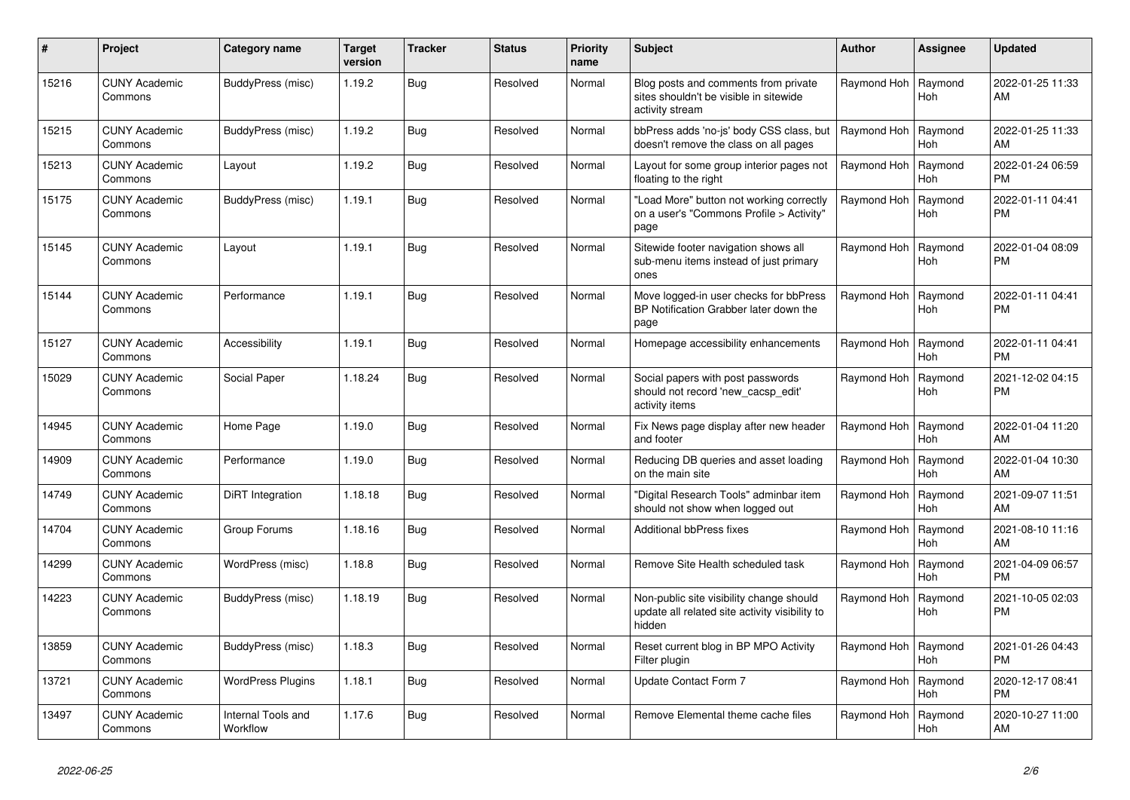| #     | Project                         | Category name                  | <b>Target</b><br>version | <b>Tracker</b> | <b>Status</b> | Priority<br>name | <b>Subject</b>                                                                                       | Author      | <b>Assignee</b>       | <b>Updated</b>                |
|-------|---------------------------------|--------------------------------|--------------------------|----------------|---------------|------------------|------------------------------------------------------------------------------------------------------|-------------|-----------------------|-------------------------------|
| 15216 | <b>CUNY Academic</b><br>Commons | BuddyPress (misc)              | 1.19.2                   | Bug            | Resolved      | Normal           | Blog posts and comments from private<br>sites shouldn't be visible in sitewide<br>activity stream    | Raymond Hoh | Raymond<br>Hoh        | 2022-01-25 11:33<br>AM        |
| 15215 | <b>CUNY Academic</b><br>Commons | BuddyPress (misc)              | 1.19.2                   | <b>Bug</b>     | Resolved      | Normal           | bbPress adds 'no-js' body CSS class, but<br>doesn't remove the class on all pages                    | Raymond Hoh | Raymond<br>Hoh        | 2022-01-25 11:33<br>AM        |
| 15213 | <b>CUNY Academic</b><br>Commons | Layout                         | 1.19.2                   | Bug            | Resolved      | Normal           | Layout for some group interior pages not<br>floating to the right                                    | Raymond Hoh | Raymond<br><b>Hoh</b> | 2022-01-24 06:59<br><b>PM</b> |
| 15175 | <b>CUNY Academic</b><br>Commons | BuddyPress (misc)              | 1.19.1                   | <b>Bug</b>     | Resolved      | Normal           | "Load More" button not working correctly<br>on a user's "Commons Profile > Activity"<br>page         | Raymond Hoh | Raymond<br>Hoh        | 2022-01-11 04:41<br><b>PM</b> |
| 15145 | <b>CUNY Academic</b><br>Commons | Layout                         | 1.19.1                   | <b>Bug</b>     | Resolved      | Normal           | Sitewide footer navigation shows all<br>sub-menu items instead of just primary<br>ones               | Raymond Hoh | Raymond<br><b>Hoh</b> | 2022-01-04 08:09<br>PM        |
| 15144 | <b>CUNY Academic</b><br>Commons | Performance                    | 1.19.1                   | Bug            | Resolved      | Normal           | Move logged-in user checks for bbPress<br>BP Notification Grabber later down the<br>page             | Raymond Hoh | Raymond<br>Hoh        | 2022-01-11 04:41<br><b>PM</b> |
| 15127 | <b>CUNY Academic</b><br>Commons | Accessibility                  | 1.19.1                   | Bug            | Resolved      | Normal           | Homepage accessibility enhancements                                                                  | Raymond Hoh | Raymond<br>Hoh        | 2022-01-11 04:41<br><b>PM</b> |
| 15029 | <b>CUNY Academic</b><br>Commons | Social Paper                   | 1.18.24                  | <b>Bug</b>     | Resolved      | Normal           | Social papers with post passwords<br>should not record 'new cacsp edit'<br>activity items            | Raymond Hoh | Raymond<br><b>Hoh</b> | 2021-12-02 04:15<br><b>PM</b> |
| 14945 | <b>CUNY Academic</b><br>Commons | Home Page                      | 1.19.0                   | <b>Bug</b>     | Resolved      | Normal           | Fix News page display after new header<br>and footer                                                 | Raymond Hoh | Raymond<br><b>Hoh</b> | 2022-01-04 11:20<br>AM        |
| 14909 | <b>CUNY Academic</b><br>Commons | Performance                    | 1.19.0                   | <b>Bug</b>     | Resolved      | Normal           | Reducing DB queries and asset loading<br>on the main site                                            | Raymond Hoh | Raymond<br><b>Hoh</b> | 2022-01-04 10:30<br>AM        |
| 14749 | <b>CUNY Academic</b><br>Commons | DiRT Integration               | 1.18.18                  | <b>Bug</b>     | Resolved      | Normal           | "Digital Research Tools" adminbar item<br>should not show when logged out                            | Raymond Hoh | Raymond<br>Hoh        | 2021-09-07 11:51<br>AM        |
| 14704 | <b>CUNY Academic</b><br>Commons | Group Forums                   | 1.18.16                  | Bug            | Resolved      | Normal           | <b>Additional bbPress fixes</b>                                                                      | Raymond Hoh | Raymond<br>Hoh        | 2021-08-10 11:16<br>AM        |
| 14299 | <b>CUNY Academic</b><br>Commons | WordPress (misc)               | 1.18.8                   | Bug            | Resolved      | Normal           | Remove Site Health scheduled task                                                                    | Raymond Hoh | Raymond<br><b>Hoh</b> | 2021-04-09 06:57<br><b>PM</b> |
| 14223 | <b>CUNY Academic</b><br>Commons | BuddyPress (misc)              | 1.18.19                  | Bug            | Resolved      | Normal           | Non-public site visibility change should<br>update all related site activity visibility to<br>hidden | Raymond Hoh | Raymond<br>Hoh        | 2021-10-05 02:03<br>PM        |
| 13859 | <b>CUNY Academic</b><br>Commons | BuddyPress (misc)              | 1.18.3                   | Bug            | Resolved      | Normal           | Reset current blog in BP MPO Activity<br>Filter plugin                                               | Raymond Hoh | Raymond<br><b>Hoh</b> | 2021-01-26 04:43<br><b>PM</b> |
| 13721 | <b>CUNY Academic</b><br>Commons | <b>WordPress Plugins</b>       | 1.18.1                   | <b>Bug</b>     | Resolved      | Normal           | Update Contact Form 7                                                                                | Raymond Hoh | Raymond<br>Hoh        | 2020-12-17 08:41<br><b>PM</b> |
| 13497 | <b>CUNY Academic</b><br>Commons | Internal Tools and<br>Workflow | 1.17.6                   | Bug            | Resolved      | Normal           | Remove Elemental theme cache files                                                                   | Raymond Hoh | Raymond<br>Hoh        | 2020-10-27 11:00<br>AM        |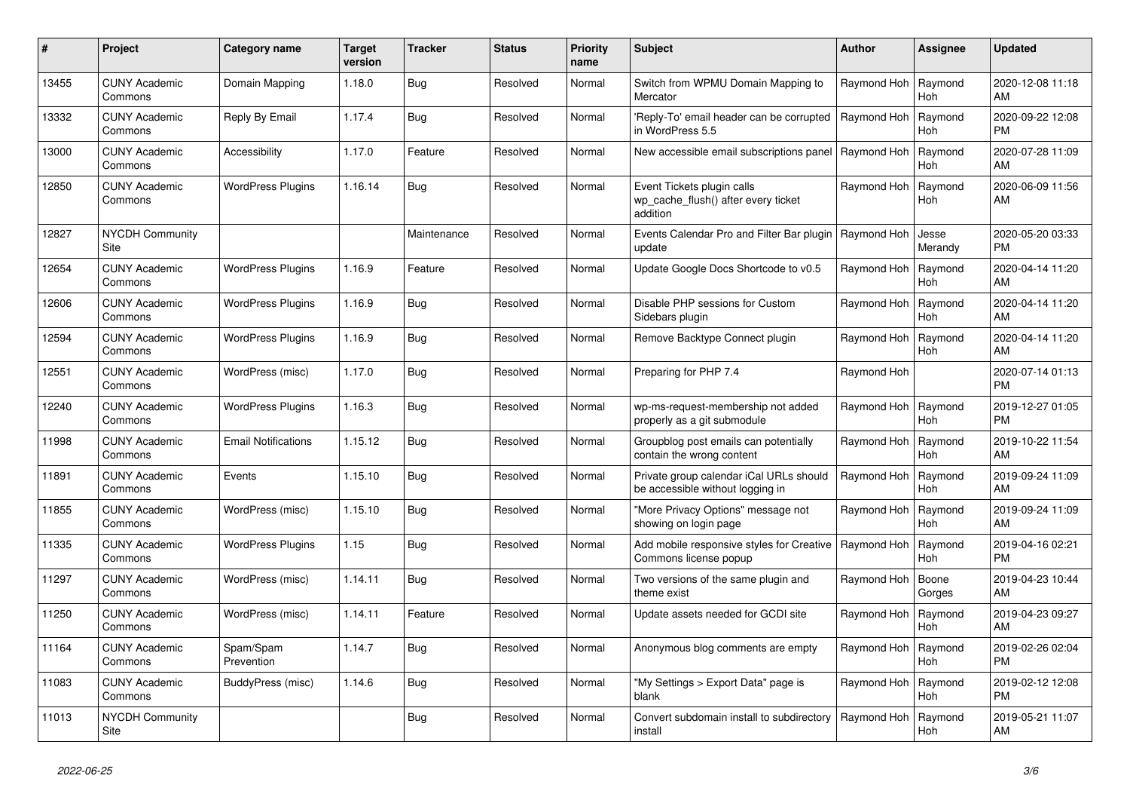| #     | Project                               | Category name              | <b>Target</b><br>version | <b>Tracker</b> | <b>Status</b> | Priority<br>name | <b>Subject</b>                                                                | Author      | <b>Assignee</b>       | <b>Updated</b>                |
|-------|---------------------------------------|----------------------------|--------------------------|----------------|---------------|------------------|-------------------------------------------------------------------------------|-------------|-----------------------|-------------------------------|
| 13455 | <b>CUNY Academic</b><br>Commons       | Domain Mapping             | 1.18.0                   | Bug            | Resolved      | Normal           | Switch from WPMU Domain Mapping to<br>Mercator                                | Raymond Hoh | Raymond<br>Hoh        | 2020-12-08 11:18<br>AM        |
| 13332 | <b>CUNY Academic</b><br>Commons       | Reply By Email             | 1.17.4                   | <b>Bug</b>     | Resolved      | Normal           | 'Reply-To' email header can be corrupted<br>in WordPress 5.5                  | Raymond Hoh | Raymond<br><b>Hoh</b> | 2020-09-22 12:08<br><b>PM</b> |
| 13000 | <b>CUNY Academic</b><br>Commons       | Accessibility              | 1.17.0                   | Feature        | Resolved      | Normal           | New accessible email subscriptions panel                                      | Raymond Hoh | Raymond<br>Hoh        | 2020-07-28 11:09<br>AM        |
| 12850 | <b>CUNY Academic</b><br>Commons       | <b>WordPress Plugins</b>   | 1.16.14                  | Bug            | Resolved      | Normal           | Event Tickets plugin calls<br>wp_cache_flush() after every ticket<br>addition | Raymond Hoh | Raymond<br><b>Hoh</b> | 2020-06-09 11:56<br>AM        |
| 12827 | <b>NYCDH Community</b><br><b>Site</b> |                            |                          | Maintenance    | Resolved      | Normal           | Events Calendar Pro and Filter Bar plugin   Raymond Hoh<br>update             |             | Jesse<br>Merandy      | 2020-05-20 03:33<br><b>PM</b> |
| 12654 | <b>CUNY Academic</b><br>Commons       | <b>WordPress Plugins</b>   | 1.16.9                   | Feature        | Resolved      | Normal           | Update Google Docs Shortcode to v0.5                                          | Raymond Hoh | Raymond<br><b>Hoh</b> | 2020-04-14 11:20<br>AM        |
| 12606 | <b>CUNY Academic</b><br>Commons       | <b>WordPress Plugins</b>   | 1.16.9                   | <b>Bug</b>     | Resolved      | Normal           | Disable PHP sessions for Custom<br>Sidebars plugin                            | Raymond Hoh | Raymond<br>Hoh        | 2020-04-14 11:20<br>AM        |
| 12594 | <b>CUNY Academic</b><br>Commons       | <b>WordPress Plugins</b>   | 1.16.9                   | <b>Bug</b>     | Resolved      | Normal           | Remove Backtype Connect plugin                                                | Raymond Hoh | Raymond<br><b>Hoh</b> | 2020-04-14 11:20<br>AM        |
| 12551 | <b>CUNY Academic</b><br>Commons       | WordPress (misc)           | 1.17.0                   | <b>Bug</b>     | Resolved      | Normal           | Preparing for PHP 7.4                                                         | Raymond Hoh |                       | 2020-07-14 01:13<br><b>PM</b> |
| 12240 | <b>CUNY Academic</b><br>Commons       | <b>WordPress Plugins</b>   | 1.16.3                   | Bug            | Resolved      | Normal           | wp-ms-request-membership not added<br>properly as a git submodule             | Raymond Hoh | Raymond<br>Hoh        | 2019-12-27 01:05<br><b>PM</b> |
| 11998 | <b>CUNY Academic</b><br>Commons       | <b>Email Notifications</b> | 1.15.12                  | Bug            | Resolved      | Normal           | Groupblog post emails can potentially<br>contain the wrong content            | Raymond Hoh | Raymond<br><b>Hoh</b> | 2019-10-22 11:54<br>AM        |
| 11891 | <b>CUNY Academic</b><br>Commons       | Events                     | 1.15.10                  | <b>Bug</b>     | Resolved      | Normal           | Private group calendar iCal URLs should<br>be accessible without logging in   | Raymond Hoh | Raymond<br><b>Hoh</b> | 2019-09-24 11:09<br>AM        |
| 11855 | <b>CUNY Academic</b><br>Commons       | WordPress (misc)           | 1.15.10                  | Bug            | Resolved      | Normal           | 'More Privacy Options" message not<br>showing on login page                   | Raymond Hoh | Raymond<br><b>Hoh</b> | 2019-09-24 11:09<br>AM        |
| 11335 | <b>CUNY Academic</b><br>Commons       | <b>WordPress Plugins</b>   | 1.15                     | Bug            | Resolved      | Normal           | Add mobile responsive styles for Creative<br>Commons license popup            | Raymond Hoh | Raymond<br>Hoh        | 2019-04-16 02:21<br><b>PM</b> |
| 11297 | <b>CUNY Academic</b><br>Commons       | WordPress (misc)           | 1.14.11                  | <b>Bug</b>     | Resolved      | Normal           | Two versions of the same plugin and<br>theme exist                            | Raymond Hoh | Boone<br>Gorges       | 2019-04-23 10:44<br>AM        |
| 11250 | <b>CUNY Academic</b><br>Commons       | WordPress (misc)           | 1.14.11                  | Feature        | Resolved      | Normal           | Update assets needed for GCDI site                                            | Raymond Hoh | Raymond<br>Hoh        | 2019-04-23 09:27<br>AM        |
| 11164 | <b>CUNY Academic</b><br>Commons       | Spam/Spam<br>Prevention    | 1.14.7                   | Bug            | Resolved      | Normal           | Anonymous blog comments are empty                                             | Raymond Hoh | Raymond<br><b>Hoh</b> | 2019-02-26 02:04<br><b>PM</b> |
| 11083 | <b>CUNY Academic</b><br>Commons       | BuddyPress (misc)          | 1.14.6                   | <b>Bug</b>     | Resolved      | Normal           | "My Settings > Export Data" page is<br>blank                                  | Raymond Hoh | Raymond<br><b>Hoh</b> | 2019-02-12 12:08<br><b>PM</b> |
| 11013 | NYCDH Community<br>Site               |                            |                          | Bug            | Resolved      | Normal           | Convert subdomain install to subdirectory<br>install                          | Raymond Hoh | Raymond<br><b>Hoh</b> | 2019-05-21 11:07<br>AM        |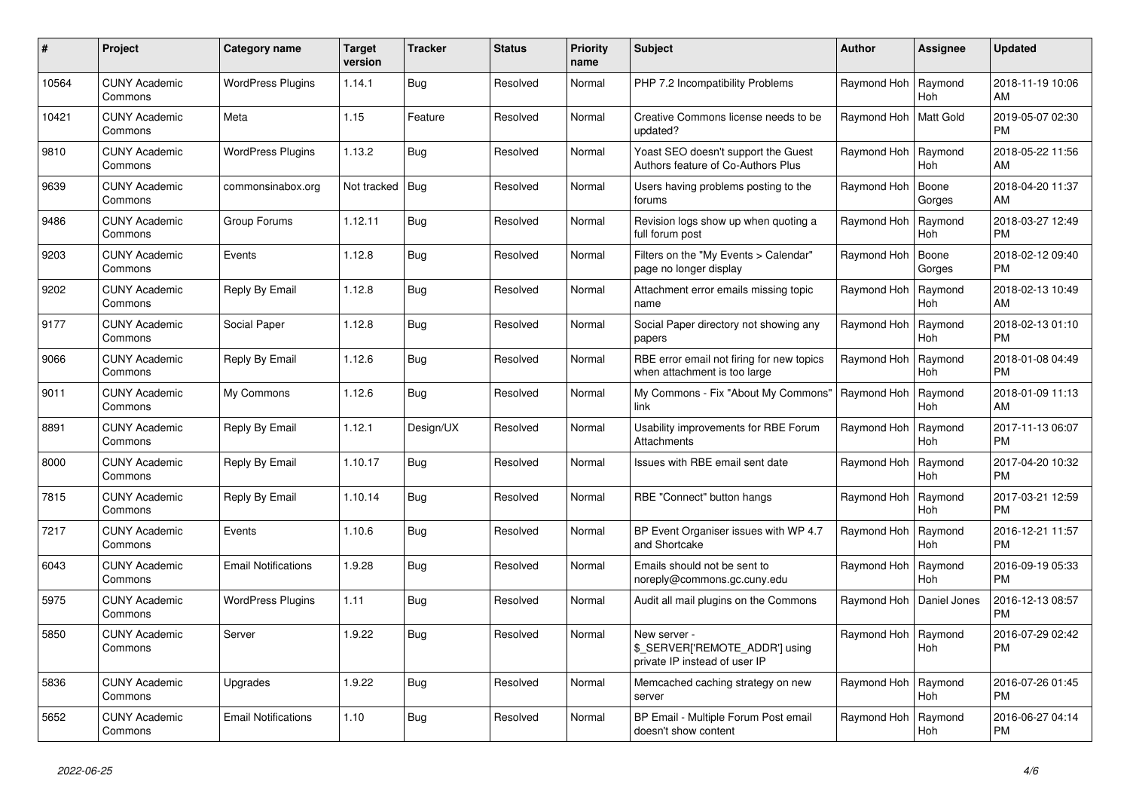| #     | Project                         | Category name              | <b>Target</b><br>version | <b>Tracker</b> | <b>Status</b> | <b>Priority</b><br>name | <b>Subject</b>                                                                  | <b>Author</b> | Assignee              | <b>Updated</b>                |
|-------|---------------------------------|----------------------------|--------------------------|----------------|---------------|-------------------------|---------------------------------------------------------------------------------|---------------|-----------------------|-------------------------------|
| 10564 | <b>CUNY Academic</b><br>Commons | <b>WordPress Plugins</b>   | 1.14.1                   | <b>Bug</b>     | Resolved      | Normal                  | PHP 7.2 Incompatibility Problems                                                | Raymond Hoh   | Raymond<br><b>Hoh</b> | 2018-11-19 10:06<br>AM        |
| 10421 | <b>CUNY Academic</b><br>Commons | Meta                       | 1.15                     | Feature        | Resolved      | Normal                  | Creative Commons license needs to be<br>updated?                                | Raymond Hoh   | <b>Matt Gold</b>      | 2019-05-07 02:30<br><b>PM</b> |
| 9810  | <b>CUNY Academic</b><br>Commons | <b>WordPress Plugins</b>   | 1.13.2                   | <b>Bug</b>     | Resolved      | Normal                  | Yoast SEO doesn't support the Guest<br>Authors feature of Co-Authors Plus       | Raymond Hoh   | Raymond<br><b>Hoh</b> | 2018-05-22 11:56<br>AM        |
| 9639  | <b>CUNY Academic</b><br>Commons | commonsinabox.org          | Not tracked   Bug        |                | Resolved      | Normal                  | Users having problems posting to the<br>forums                                  | Raymond Hoh   | Boone<br>Gorges       | 2018-04-20 11:37<br>AM        |
| 9486  | <b>CUNY Academic</b><br>Commons | Group Forums               | 1.12.11                  | Bug            | Resolved      | Normal                  | Revision logs show up when quoting a<br>full forum post                         | Raymond Hoh   | Raymond<br>Hoh        | 2018-03-27 12:49<br><b>PM</b> |
| 9203  | <b>CUNY Academic</b><br>Commons | Events                     | 1.12.8                   | <b>Bug</b>     | Resolved      | Normal                  | Filters on the "My Events > Calendar"<br>page no longer display                 | Raymond Hoh   | Boone<br>Gorges       | 2018-02-12 09:40<br><b>PM</b> |
| 9202  | <b>CUNY Academic</b><br>Commons | Reply By Email             | 1.12.8                   | <b>Bug</b>     | Resolved      | Normal                  | Attachment error emails missing topic<br>name                                   | Raymond Hoh   | Raymond<br><b>Hoh</b> | 2018-02-13 10:49<br><b>AM</b> |
| 9177  | <b>CUNY Academic</b><br>Commons | <b>Social Paper</b>        | 1.12.8                   | Bug            | Resolved      | Normal                  | Social Paper directory not showing any<br>papers                                | Raymond Hoh   | Raymond<br>Hoh        | 2018-02-13 01:10<br><b>PM</b> |
| 9066  | <b>CUNY Academic</b><br>Commons | Reply By Email             | 1.12.6                   | <b>Bug</b>     | Resolved      | Normal                  | RBE error email not firing for new topics<br>when attachment is too large       | Raymond Hoh   | Raymond<br><b>Hoh</b> | 2018-01-08 04:49<br><b>PM</b> |
| 9011  | <b>CUNY Academic</b><br>Commons | My Commons                 | 1.12.6                   | Bug            | Resolved      | Normal                  | My Commons - Fix "About My Commons"<br>link                                     | Raymond Hoh   | Raymond<br><b>Hoh</b> | 2018-01-09 11:13<br>AM        |
| 8891  | <b>CUNY Academic</b><br>Commons | Reply By Email             | 1.12.1                   | Design/UX      | Resolved      | Normal                  | Usability improvements for RBE Forum<br><b>Attachments</b>                      | Raymond Hoh   | Raymond<br>Hoh        | 2017-11-13 06:07<br><b>PM</b> |
| 8000  | <b>CUNY Academic</b><br>Commons | Reply By Email             | 1.10.17                  | <b>Bug</b>     | Resolved      | Normal                  | Issues with RBE email sent date                                                 | Raymond Hoh   | Raymond<br>Hoh        | 2017-04-20 10:32<br><b>PM</b> |
| 7815  | <b>CUNY Academic</b><br>Commons | Reply By Email             | 1.10.14                  | Bug            | Resolved      | Normal                  | RBE "Connect" button hangs                                                      | Raymond Hoh   | Raymond<br><b>Hoh</b> | 2017-03-21 12:59<br><b>PM</b> |
| 7217  | <b>CUNY Academic</b><br>Commons | Events                     | 1.10.6                   | Bug            | Resolved      | Normal                  | BP Event Organiser issues with WP 4.7<br>and Shortcake                          | Raymond Hoh   | Raymond<br><b>Hoh</b> | 2016-12-21 11:57<br><b>PM</b> |
| 6043  | <b>CUNY Academic</b><br>Commons | <b>Email Notifications</b> | 1.9.28                   | <b>Bug</b>     | Resolved      | Normal                  | Emails should not be sent to<br>noreply@commons.gc.cuny.edu                     | Raymond Hoh   | Raymond<br><b>Hoh</b> | 2016-09-19 05:33<br><b>PM</b> |
| 5975  | <b>CUNY Academic</b><br>Commons | <b>WordPress Plugins</b>   | 1.11                     | <b>Bug</b>     | Resolved      | Normal                  | Audit all mail plugins on the Commons                                           | Raymond Hoh   | Daniel Jones          | 2016-12-13 08:57<br><b>PM</b> |
| 5850  | <b>CUNY Academic</b><br>Commons | Server                     | 1.9.22                   | <b>Bug</b>     | Resolved      | Normal                  | New server -<br>\$_SERVER['REMOTE_ADDR'] using<br>private IP instead of user IP | Raymond Hoh   | Raymond<br><b>Hoh</b> | 2016-07-29 02:42<br><b>PM</b> |
| 5836  | <b>CUNY Academic</b><br>Commons | Upgrades                   | 1.9.22                   | Bug            | Resolved      | Normal                  | Memcached caching strategy on new<br>server                                     | Raymond Hoh   | Raymond<br>Hoh        | 2016-07-26 01:45<br><b>PM</b> |
| 5652  | <b>CUNY Academic</b><br>Commons | <b>Email Notifications</b> | 1.10                     | <b>Bug</b>     | Resolved      | Normal                  | BP Email - Multiple Forum Post email<br>doesn't show content                    | Raymond Hoh   | Raymond<br>Hoh        | 2016-06-27 04:14<br><b>PM</b> |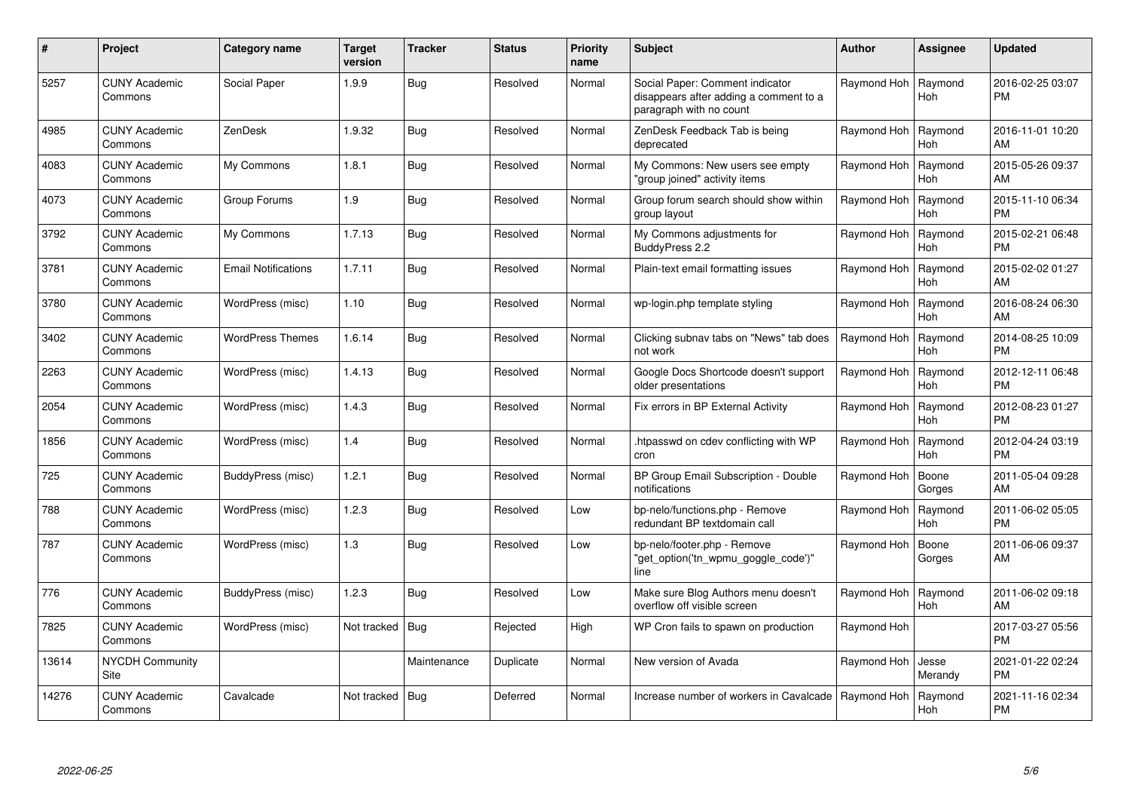| $\#$  | Project                         | <b>Category name</b>       | <b>Target</b><br>version | <b>Tracker</b> | <b>Status</b> | <b>Priority</b><br>name | <b>Subject</b>                                                                                       | <b>Author</b> | Assignee              | <b>Updated</b>                |
|-------|---------------------------------|----------------------------|--------------------------|----------------|---------------|-------------------------|------------------------------------------------------------------------------------------------------|---------------|-----------------------|-------------------------------|
| 5257  | <b>CUNY Academic</b><br>Commons | Social Paper               | 1.9.9                    | <b>Bug</b>     | Resolved      | Normal                  | Social Paper: Comment indicator<br>disappears after adding a comment to a<br>paragraph with no count | Raymond Hoh   | Raymond<br>Hoh        | 2016-02-25 03:07<br><b>PM</b> |
| 4985  | <b>CUNY Academic</b><br>Commons | ZenDesk                    | 1.9.32                   | Bug            | Resolved      | Normal                  | ZenDesk Feedback Tab is being<br>deprecated                                                          | Raymond Hoh   | Raymond<br>Hoh        | 2016-11-01 10:20<br>AM        |
| 4083  | <b>CUNY Academic</b><br>Commons | My Commons                 | 1.8.1                    | Bug            | Resolved      | Normal                  | My Commons: New users see empty<br>'group joined" activity items                                     | Raymond Hoh   | Raymond<br><b>Hoh</b> | 2015-05-26 09:37<br>AM        |
| 4073  | <b>CUNY Academic</b><br>Commons | Group Forums               | 1.9                      | Bug            | Resolved      | Normal                  | Group forum search should show within<br>group layout                                                | Raymond Hoh   | Raymond<br><b>Hoh</b> | 2015-11-10 06:34<br><b>PM</b> |
| 3792  | <b>CUNY Academic</b><br>Commons | My Commons                 | 1.7.13                   | Bug            | Resolved      | Normal                  | My Commons adjustments for<br>BuddyPress 2.2                                                         | Raymond Hoh   | Raymond<br><b>Hoh</b> | 2015-02-21 06:48<br><b>PM</b> |
| 3781  | <b>CUNY Academic</b><br>Commons | <b>Email Notifications</b> | 1.7.11                   | <b>Bug</b>     | Resolved      | Normal                  | Plain-text email formatting issues                                                                   | Raymond Hoh   | Raymond<br>Hoh        | 2015-02-02 01:27<br>AM        |
| 3780  | <b>CUNY Academic</b><br>Commons | WordPress (misc)           | 1.10                     | <b>Bug</b>     | Resolved      | Normal                  | wp-login.php template styling                                                                        | Raymond Hoh   | Raymond<br><b>Hoh</b> | 2016-08-24 06:30<br>AM        |
| 3402  | <b>CUNY Academic</b><br>Commons | <b>WordPress Themes</b>    | 1.6.14                   | <b>Bug</b>     | Resolved      | Normal                  | Clicking subnav tabs on "News" tab does<br>not work                                                  | Raymond Hoh   | Raymond<br><b>Hoh</b> | 2014-08-25 10:09<br><b>PM</b> |
| 2263  | <b>CUNY Academic</b><br>Commons | WordPress (misc)           | 1.4.13                   | <b>Bug</b>     | Resolved      | Normal                  | Google Docs Shortcode doesn't support<br>older presentations                                         | Raymond Hoh   | Raymond<br>Hoh        | 2012-12-11 06:48<br><b>PM</b> |
| 2054  | <b>CUNY Academic</b><br>Commons | WordPress (misc)           | 1.4.3                    | <b>Bug</b>     | Resolved      | Normal                  | Fix errors in BP External Activity                                                                   | Raymond Hoh   | Raymond<br>Hoh        | 2012-08-23 01:27<br><b>PM</b> |
| 1856  | CUNY Academic<br>Commons        | WordPress (misc)           | 1.4                      | <b>Bug</b>     | Resolved      | Normal                  | htpasswd on cdev conflicting with WP<br>cron                                                         | Raymond Hoh   | Raymond<br>Hoh        | 2012-04-24 03:19<br><b>PM</b> |
| 725   | <b>CUNY Academic</b><br>Commons | BuddyPress (misc)          | 1.2.1                    | <b>Bug</b>     | Resolved      | Normal                  | BP Group Email Subscription - Double<br>notifications                                                | Raymond Hoh   | Boone<br>Gorges       | 2011-05-04 09:28<br>AM        |
| 788   | <b>CUNY Academic</b><br>Commons | WordPress (misc)           | 1.2.3                    | <b>Bug</b>     | Resolved      | Low                     | bp-nelo/functions.php - Remove<br>redundant BP textdomain call                                       | Raymond Hoh   | Raymond<br>Hoh        | 2011-06-02 05:05<br><b>PM</b> |
| 787   | <b>CUNY Academic</b><br>Commons | WordPress (misc)           | 1.3                      | <b>Bug</b>     | Resolved      | Low                     | bp-nelo/footer.php - Remove<br>"get option('tn wpmu goggle code')"<br>line                           | Raymond Hoh   | Boone<br>Gorges       | 2011-06-06 09:37<br>AM        |
| 776   | <b>CUNY Academic</b><br>Commons | BuddyPress (misc)          | 1.2.3                    | <b>Bug</b>     | Resolved      | Low                     | Make sure Blog Authors menu doesn't<br>overflow off visible screen                                   | Raymond Hoh   | Raymond<br><b>Hoh</b> | 2011-06-02 09:18<br>AM        |
| 7825  | <b>CUNY Academic</b><br>Commons | WordPress (misc)           | Not tracked              | Bug            | Rejected      | High                    | WP Cron fails to spawn on production                                                                 | Raymond Hoh   |                       | 2017-03-27 05:56<br><b>PM</b> |
| 13614 | <b>NYCDH Community</b><br>Site  |                            |                          | Maintenance    | Duplicate     | Normal                  | New version of Avada                                                                                 | Raymond Hoh   | Jesse<br>Merandy      | 2021-01-22 02:24<br><b>PM</b> |
| 14276 | <b>CUNY Academic</b><br>Commons | Cavalcade                  | Not tracked              | Bug            | Deferred      | Normal                  | Increase number of workers in Cavalcade                                                              | Raymond Hoh   | Raymond<br>Hoh        | 2021-11-16 02:34<br><b>PM</b> |